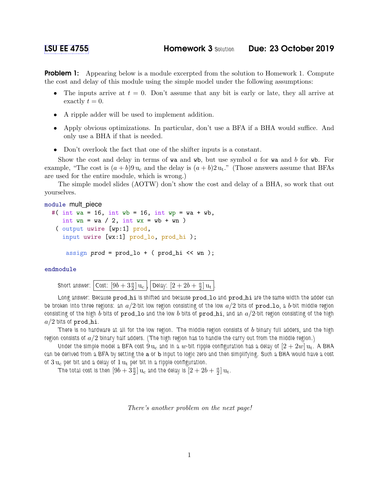**Problem 1:** Appearing below is a module excerpted from the solution to Homework 1. Compute the cost and delay of this module using the simple model under the following assumptions:

- The inputs arrive at  $t = 0$ . Don't assume that any bit is early or late, they all arrive at exactly  $t = 0$ .
- A ripple adder will be used to implement addition.
- Apply obvious optimizations. In particular, don't use a BFA if a BHA would suffice. And only use a BHA if that is needed.
- Don't overlook the fact that one of the shifter inputs is a constant.

Show the cost and delay in terms of wa and wb, but use symbol  $\alpha$  for wa and  $\beta$  for wb. For example, "The cost is  $(a + b)9 u_c$  and the delay is  $(a + b)2 u_t$ ." (Those answers assume that BFAs are used for the entire module, which is wrong.)

The simple model slides (AOTW) don't show the cost and delay of a BHA, so work that out yourselves.

```
module mult_piece
  #( int wa = 16, int wb = 16, int wp = wa + wb,
     int wn = wa / 2, int wx = wb + wn)
   ( output uwire [wp:1] prod,
     input uwire [wx:1] prod_lo, prod_hi );
```

```
assign prod = prod_1o + (prod_1 < w);
```
## endmodule

Short answer:  $\boxed{\text{Cost: }[9b+3\frac{a}{2}]\,\mathbf{u}_\text{c}}$  ,  $\boxed{\text{Delay: }[2+2b+\frac{a}{2}]}$  $\frac{a}{2}$ ]  $u_t$  |.

Long answer: Because prod hi is shifted and because prod lo and prod hi are the same width the adder can be broken into three regions: an  $a/2$ -bit low region consisting of the low  $a/2$  bits of  $\bf prod\_lo$ , a b-bit middle region consisting of the high b bits of prod lo and the low b bits of prod hi, and an  $a/2$ -bit region consisting of the high  $a/2$  bits of prod hi.

There is no hardware at all for the low region. The middle region consists of b binary full adders, and the high region consists of  $a/2$  binary half adders. (The high region has to handle the carry out from the middle region.)

Under the simple model a BFA cost  $9\rm\,u_c$  and in a  $w$ -bit ripple configuration has a delay of  $[2+2w]\rm\,u_t$ . A BHA can be derived from a BFA by setting the a or b input to logic zero and then simplifying. Such a BHA would have a cost of  $3 u_c$  per bit and a delay of  $1 u_t$  per bit in a ripple configuration.

The total cost is then  $[9b + 3\frac{a}{2}] \mathbf{u}_{\rm c}$  and the delay is  $[2 + 2b + \frac{a}{2}]$  $\frac{a}{2}$ ]  $u_t$ .

There's another problem on the next page!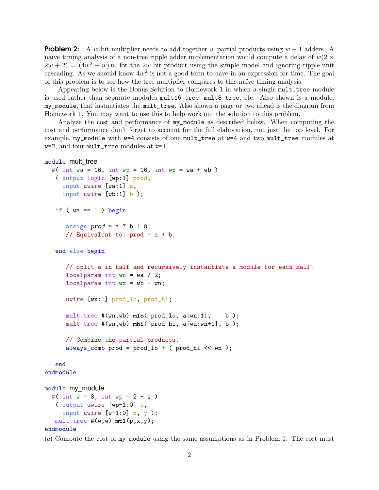**Problem 2:** A w-bit multiplier needs to add together w partial products using  $w - 1$  adders. A naïve timing analysis of a non-tree ripple adder implementation would compute a delay of  $w(2 \times$  $(2w + 2) = (4w<sup>2</sup> + w)$  u<sub>t</sub> for the 2w-bit product using the simple model and ignoring ripple-unit cascading. As we should know  $4w^2$  is not a good term to have in an expression for time. The goal of this problem is to see how the tree multiplier compares to this naïve timing analysis.

Appearing below is the Bonus Solution to Homework 1 in which a single mult\_tree module is used rather than separate modules mult16\_tree, mult8\_tree, etc. Also shown is a module, my\_module, that instantiates the mult\_tree. Also shown a page or two ahead is the diagram from Homework 1. You may want to use this to help work out the solution to this problem.

Analyze the cost and performance of my\_module as described below. When computing the cost and performance don't forget to account for the full elaboration, not just the top level. For example, my\_module with w=4 consists of one mult\_tree at w=4 and two mult\_tree modules at w=2, and four mult\_tree modules at w=1.

```
module mult tree
  #( int wa = 16, int wb = 16, int wp = wa + wb)
   ( output logic [wp:1] prod,
     input uwire [wa:1] a,
     input uwire [wb:1] b );
  if (wa == 1) begin
      assign prod = a ? b : 0;// Equivalent to: prod = a * b;
   end else begin
      // Split a in half and recursively instantiate a module for each half.
      localparam int wn = wa / 2;
      localparam int wx = wb + wn;uwire [wx:1] prod_lo, prod_hi;
      mult_tree #(wn,wb) mlo( prod_lo, a[wn:1], b );
      mult_tree #(wn,wb) mhi( prod_hi, a[wa:wn+1], b );
      // Combine the partial products.
      always_comb prod = prod\_lo + ( prod\_hi \ll wn);
   end
endmodule
module my_module
  #( int w = 8, int wp = 2 * w )
   ( output uwire [wp-1:0] p,
     input uwire [w-1:0] x, y );
  mult\_tree #(w,w) mt1(p,x,y);
```

```
endmodule
```
(a) Compute the cost of my\_module using the same assumptions as in Problem 1. The cost must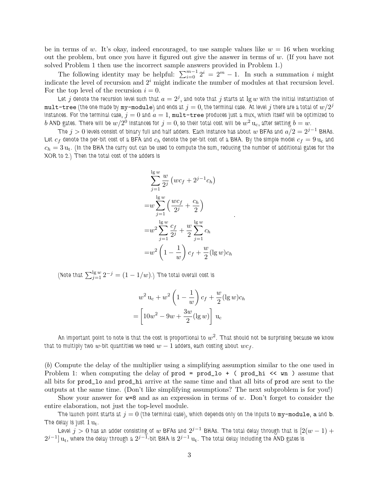be in terms of w. It's okay, indeed encouraged, to use sample values like  $w = 16$  when working out the problem, but once you have it figured out give the answer in terms of  $w$ . (If you have not solved Problem 1 then use the incorrect sample answers provided in Problem 1.)

The following identity may be helpful:  $\sum_{i=0}^{m-1} 2^i = 2^m - 1$ . In such a summation i might indicate the level of recursion and  $2<sup>i</sup>$  might indicate the number of modules at that recursion level. For the top level of the recursion  $i = 0$ .

Let  $j$  denote the recursion level such that  $a=2^j,$  and note that  $j$  starts at  $\lg w$  with the initial instantiation of  $\tt mult-tree}$  (the one made by  $\tt my-mode$  and ends at  $j=0,$  the terminal case. At level  $j$  there are a total of  $w/2^j$ instances. For the terminal case,  $j = 0$  and  $a = 1$ , mult-tree produces just a mux, which itself will be optimized to  $b$  AND gates. There will be  $w/2^0$  instances for  $j=0,$  so their total cost will be  $w^2\,\mathrm{u}_\mathrm{c}$ , after setting  $b=w$ .

The  $j > 0$  levels consist of binary full and half adders. Each instance has about  $w$  BFAs and  $a/2 = 2^{j-1}$  BHAs. Let  $c_f$  denote the per-bit cost of a BFA and  $c_h$  denote the per-bit cost of a BHA. By the simple model  $c_f = 9 u_c$  and  $c_h = 3 u_t$ . (In the BHA the carry out can be used to compute the sum, reducing the number of additional gates for the XOR to 2.) Then the total cost of the adders is

$$
\sum_{j=1}^{\lg w} \frac{w}{2^j} (wc_f + 2^{j-1}c_h)
$$
  
= $w \sum_{j=1}^{\lg w} \left( \frac{wc_f}{2^j} + \frac{c_h}{2} \right)$   
= $w^2 \sum_{j=1}^{\lg w} \frac{c_f}{2^j} + \frac{w}{2} \sum_{j=1}^{\lg w} c_h$   
= $w^2 \left( 1 - \frac{1}{w} \right) c_f + \frac{w}{2} (\lg w) c_h$ 

.

(Note that  $\sum_{j=1}^{\lg w} 2^{-j} = (1-1/w).$ ) The total overall cost is

$$
w2 uc + w2 \left(1 - \frac{1}{w}\right) c_f + \frac{w}{2} (\lg w) c_h
$$

$$
= \left[10w2 - 9w + \frac{3w}{2} (\lg w)\right] u_c
$$

An important point to note is that the cost is proportional to  $w^2.$  That should not be surprising because we know that to multiply two w-bit quantities we need  $w - 1$  adders, each costing about  $wc_f$ .

(b) Compute the delay of the multiplier using a simplifying assumption similar to the one used in Problem 1: when computing the delay of  $\text{prod} = \text{prod} \cdot + \cdot$  ( $\text{prod} \cdot \cdot \cdot$  wn) assume that all bits for prod\_lo and prod\_hi arrive at the same time and that all bits of prod are sent to the outputs at the same time. (Don't like simplifying assumptions? The next subproblem is for you!)

Show your answer for  $w=8$  and as an expression in terms of w. Don't forget to consider the entire elaboration, not just the top-level module.

The launch point starts at  $j = 0$  (the terminal case), which depends only on the inputs to  $my$ -module, a and b. The delay is just  $1 u_t$ .

Level  $j>0$  has an adder consisting of  $w$  BFAs and  $2^{j-1}$  BHAs. The total delay through that is  $[2(w-1)+\,$  $2^{j-1}]\, \mathrm{u}_\mathrm{t}$ , where the delay through a  $2^{j-1}$ -bit BHA is  $2^{j-1}\, \mathrm{u}_\mathrm{t}$ . The total delay including the AND gates is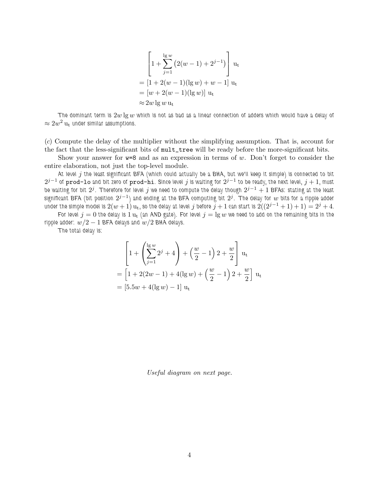$$
\[1 + \sum_{j=1}^{\lg w} (2(w-1) + 2^{j-1})\] u_t
$$
  
=  $[1 + 2(w - 1)(\lg w) + w - 1] u_t$   
=  $[w + 2(w - 1)(\lg w)] u_t$   
 $\approx 2w \lg w u_t$ 

The dominant term is  $2w \lg w$  which is not as bad as a linear connection of adders which would have a delay of  $\approx 2w^2\,\mathrm{u}_\mathrm{t}$  under similar assumptions.

(c) Compute the delay of the multiplier without the simplifying assumption. That is, account for the fact that the less-significant bits of mult\_tree will be ready before the more-significant bits.

Show your answer for  $w=8$  and as an expression in terms of w. Don't forget to consider the entire elaboration, not just the top-level module.

At level j the least significant BFA (which could actually be a BHA, but we'll keep it simple) is connected to bit  $2^{j-1}$  of  $\bm{\mathrm{prod}}$  and bit zero of  $\bm{\mathrm{prod}}$  . Since level  $j$  is waiting for  $2^{j-1}$  to be ready, the next level,  $j+1$ , must be waiting for bit  $2^j.$  Therefore for level  $j$  we need to compute the delay though  $2^{j-1}+1$  BFAs: stating at the least significant BFA (bit position  $2^{j-1})$  and ending at the BFA computing bit  $2^j$ . The delay for  $w$  bits for a ripple adder under the simple model is  $2(w + 1)$  u<sub>t</sub>, so the delay at level j before  $j + 1$  can start is  $2((2^{j-1} + 1) + 1) = 2^j + 4$ .

For level  $j=0$  the delay is  $1\,\rm u_t$  (an AND gate). For level  $j=\lg w$  we need to add on the remaining bits in the ripple adder:  $w/2 - 1$  BFA delays and  $w/2$  BHA delays.

The total delay is:

$$
\left[1 + \left(\sum_{j=1}^{\lg w} 2^j + 4\right) + \left(\frac{w}{2} - 1\right)2 + \frac{w}{2}\right] u_t
$$
  
=  $\left[1 + 2(2w - 1) + 4(\lg w) + \left(\frac{w}{2} - 1\right)2 + \frac{w}{2}\right] u_t$   
=  $\left[5.5w + 4(\lg w) - 1\right] u_t$ 

Useful diagram on next page.